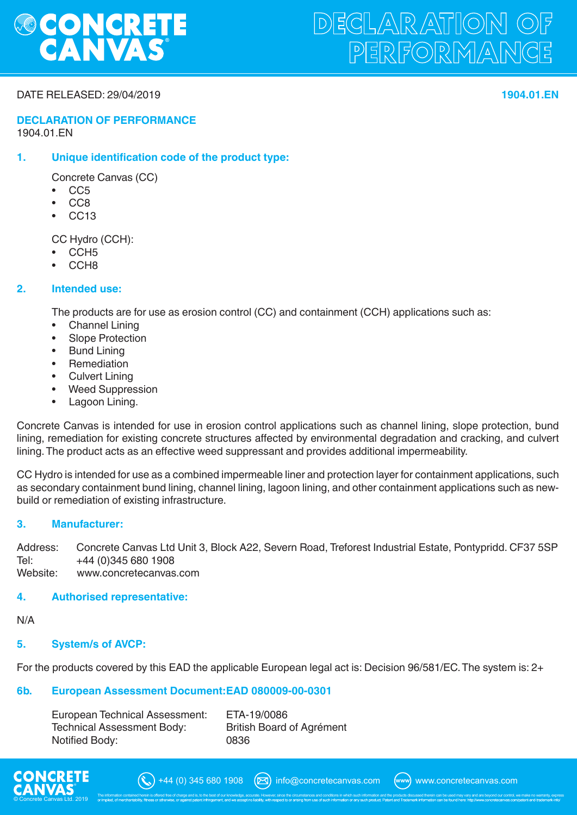

# DEGLARATION O PERFORMANGE

#### DATE RELEASED: 29/04/2019 **1904.01.EN**

#### **DECLARATION OF PERFORMANCE** 1904.01.EN

### **1. Unique identification code of the product type:**

Concrete Canvas (CC)

- CC5
- CC8
- CC13

CC Hydro (CCH):

- CCH5
- CCH<sub>8</sub>

#### **2. Intended use:**

The products are for use as erosion control (CC) and containment (CCH) applications such as:

- Channel Lining
- Slope Protection
- **Bund Lining**
- **Remediation**
- Culvert Lining
- Weed Suppression
- Lagoon Lining.

Concrete Canvas is intended for use in erosion control applications such as channel lining, slope protection, bund lining, remediation for existing concrete structures affected by environmental degradation and cracking, and culvert lining. The product acts as an effective weed suppressant and provides additional impermeability.

CC Hydro is intended for use as a combined impermeable liner and protection layer for containment applications, such as secondary containment bund lining, channel lining, lagoon lining, and other containment applications such as newbuild or remediation of existing infrastructure.

#### **3. Manufacturer:**

Address: Concrete Canvas Ltd Unit 3, Block A22, Severn Road, Treforest Industrial Estate, Pontypridd. CF37 5SP<br>Tel: +44 (0)345 680 1908 Tel: +44 (0)345 680 1908<br>Website: www.concretecanvas www.concretecanvas.com

#### **4. Authorised representative:**

N/A

#### **5. System/s of AVCP:**

For the products covered by this EAD the applicable European legal act is: Decision 96/581/EC. The system is: 2+

#### **6b. European Assessment Document: EAD 080009-00-0301**

| European Technical Assessment:    | ETA-19/0086                      |
|-----------------------------------|----------------------------------|
| <b>Technical Assessment Body:</b> | <b>British Board of Agrément</b> |
| Notified Body:                    | 0836                             |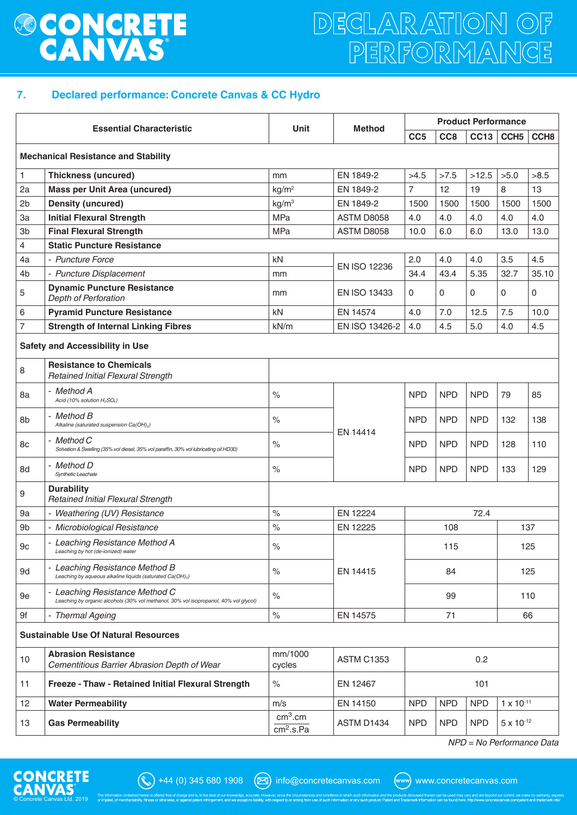# **&BONCRETE**

# DECLARATION OF PERFORMANCE

## **7. Declared performance: Concrete Canvas & CC Hydro**

| <b>Essential Characteristic</b>             |                                                                                                                        | <b>Unit</b>                                  | <b>Method</b>       | <b>Product Performance</b>             |                 |            |                     |                  |  |  |
|---------------------------------------------|------------------------------------------------------------------------------------------------------------------------|----------------------------------------------|---------------------|----------------------------------------|-----------------|------------|---------------------|------------------|--|--|
|                                             |                                                                                                                        |                                              |                     | CC <sub>5</sub>                        | CC <sub>8</sub> | CC13       | CCH <sub>5</sub>    | CCH <sub>8</sub> |  |  |
| <b>Mechanical Resistance and Stability</b>  |                                                                                                                        |                                              |                     |                                        |                 |            |                     |                  |  |  |
| $\mathbf{1}$                                | <b>Thickness (uncured)</b>                                                                                             | mm                                           | EN 1849-2           | >4.5                                   | >7.5            | >12.5      | >5.0                | >8.5             |  |  |
| 2a                                          | <b>Mass per Unit Area (uncured)</b>                                                                                    | kg/m <sup>2</sup>                            | EN 1849-2           | $\overline{7}$                         | 12              | 19         | 8                   | 13               |  |  |
| 2 <sub>b</sub>                              | <b>Density (uncured)</b>                                                                                               | kg/m <sup>3</sup>                            | EN 1849-2           | 1500                                   | 1500            | 1500       | 1500                | 1500             |  |  |
| 3a                                          | <b>Initial Flexural Strength</b>                                                                                       | <b>MPa</b>                                   | ASTM D8058          | 4.0                                    | 4.0             | 4.0        | 4.0                 | 4.0              |  |  |
| 3b                                          | <b>Final Flexural Strength</b>                                                                                         | <b>MPa</b>                                   | <b>ASTM D8058</b>   | 10.0                                   | 6.0             | 6.0        | 13.0                | 13.0             |  |  |
| 4                                           | <b>Static Puncture Resistance</b>                                                                                      |                                              |                     |                                        |                 |            |                     |                  |  |  |
| 4a                                          | - Puncture Force                                                                                                       | kN                                           | EN ISO 12236        | 2.0                                    | 4.0             | 4.0        | 3.5                 | 4.5              |  |  |
| 4 <sub>b</sub>                              | - Puncture Displacement                                                                                                | mm                                           |                     | 34.4                                   | 43.4            | 5.35       | 32.7                | 35.10            |  |  |
| 5                                           | <b>Dynamic Puncture Resistance</b><br>Depth of Perforation                                                             | mm                                           | <b>EN ISO 13433</b> | 0                                      | $\Omega$        | 0          | 0                   | 0                |  |  |
| 6                                           | <b>Pyramid Puncture Resistance</b>                                                                                     | kN                                           | EN 14574            | 4.0                                    | 7.0             | 12.5       | 7.5                 | 10.0             |  |  |
| $\overline{7}$                              | <b>Strength of Internal Linking Fibres</b>                                                                             | kN/m                                         | EN ISO 13426-2      | 4.0                                    | 4.5             | 5.0        | 4.0                 | 4.5              |  |  |
| <b>Safety and Accessibility in Use</b>      |                                                                                                                        |                                              |                     |                                        |                 |            |                     |                  |  |  |
| 8                                           | <b>Resistance to Chemicals</b><br><b>Retained Initial Flexural Strength</b>                                            |                                              |                     |                                        |                 |            |                     |                  |  |  |
| 8a                                          | - Method A<br>Acid (10% solution H <sub>2</sub> SO <sub>4</sub> )                                                      | $\frac{0}{0}$                                | EN 14414            | <b>NPD</b>                             | <b>NPD</b>      | <b>NPD</b> | 79                  | 85               |  |  |
| 8b                                          | - Method B<br>Alkaline (saturated suspension Ca(OH) <sub>2</sub> )                                                     | $\%$                                         |                     | <b>NPD</b>                             | <b>NPD</b>      | <b>NPD</b> | 132                 | 138              |  |  |
| 8c                                          | - Method C<br>Solvation & Swelling (35% vol diesel, 35% vol paraffin, 30% vol lubricating oil HD30)                    | $\%$                                         |                     | <b>NPD</b>                             | <b>NPD</b>      | <b>NPD</b> | 128                 | 110              |  |  |
| 8d                                          | - Method D<br>Synthetic Leachate                                                                                       | $\%$                                         |                     | <b>NPD</b>                             | <b>NPD</b>      | <b>NPD</b> | 133                 | 129              |  |  |
| 9                                           | <b>Durability</b><br>Retained Initial Flexural Strength                                                                |                                              |                     |                                        |                 |            |                     |                  |  |  |
| 9a                                          | - Weathering (UV) Resistance                                                                                           | $\%$                                         | EN 12224            | 72.4                                   |                 |            |                     |                  |  |  |
| 9b                                          | - Microbiological Resistance                                                                                           | $\frac{0}{0}$                                | EN 12225            | 108                                    |                 |            | 137                 |                  |  |  |
| $9\mathrm{c}$                               | - Leaching Resistance Method A<br>Leaching by hot (de-ionized) water                                                   | $\%$                                         |                     | 115                                    |                 |            | 125                 |                  |  |  |
| 9d                                          | - Leaching Resistance Method B<br>Leaching by aqueous alkaline liquids (saturated Ca(OH) <sub>2</sub> )                | $\%$                                         | EN 14415            | 84<br>99                               |                 |            | 125                 |                  |  |  |
| 9e                                          | - Leaching Resistance Method C<br>Leaching by organic alcohols (30% vol methanol, 30% vol isopropanol, 40% vol glycol) | $\%$                                         |                     |                                        |                 |            |                     | 110              |  |  |
| 9f                                          | <b>Thermal Ageing</b>                                                                                                  | $\%$                                         | EN 14575            | 71                                     |                 |            | 66                  |                  |  |  |
| <b>Sustainable Use Of Natural Resources</b> |                                                                                                                        |                                              |                     |                                        |                 |            |                     |                  |  |  |
| 10                                          | <b>Abrasion Resistance</b><br>Cementitious Barrier Abrasion Depth of Wear                                              | mm/1000<br>cycles                            | <b>ASTM C1353</b>   | 0.2                                    |                 |            |                     |                  |  |  |
| 11                                          | Freeze - Thaw - Retained Initial Flexural Strength                                                                     | $\%$                                         | EN 12467            | 101                                    |                 |            |                     |                  |  |  |
| 12                                          | <b>Water Permeability</b>                                                                                              | m/s                                          | EN 14150            | <b>NPD</b><br><b>NPD</b><br><b>NPD</b> |                 |            | $1 \times 10^{-11}$ |                  |  |  |
| 13                                          | <b>Gas Permeability</b>                                                                                                | cm <sup>3</sup> .cm<br>cm <sup>2</sup> .s.Pa | ASTM D1434          | <b>NPD</b><br><b>NPD</b><br><b>NPD</b> |                 |            | $5 \times 10^{-12}$ |                  |  |  |

*NPD = No Performance Data*